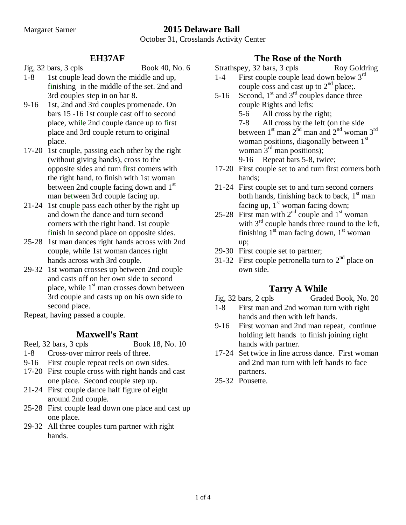# Margaret Sarner **2015 Delaware Ball**

October 31, Crosslands Activity Center

#### **EH37AF**

Jig, 32 bars, 3 cpls Book 40, No. 6

- 1-8 1st couple lead down the middle and up, finishing in the middle of the set. 2nd and 3rd couples step in on bar 8.
- 9-16 1st, 2nd and 3rd couples promenade. On bars 15 -16 1st couple cast off to second place, while 2nd couple dance up to first place and 3rd couple return to original place.
- 17-20 1st couple, passing each other by the right (without giving hands), cross to the opposite sides and turn first corners with the right hand, to finish with 1st woman between 2nd couple facing down and  $1<sup>st</sup>$ man between 3rd couple facing up.
- 21-24 1st couple pass each other by the right up and down the dance and turn second corners with the right hand. 1st couple finish in second place on opposite sides.
- 25-28 1st man dances right hands across with 2nd couple, while 1st woman dances right hands across with 3rd couple.
- 29-32 1st woman crosses up between 2nd couple and casts off on her own side to second place, while  $1<sup>st</sup>$  man crosses down between 3rd couple and casts up on his own side to second place.
- Repeat, having passed a couple.

#### **Maxwell's Rant**

Reel, 32 bars, 3 cpls Book 18, No. 10

- 1-8 Cross-over mirror reels of three.
- 9-16 First couple repeat reels on own sides.
- 17-20 First couple cross with right hands and cast one place. Second couple step up.
- 21-24 First couple dance half figure of eight around 2nd couple.
- 25-28 First couple lead down one place and cast up one place.
- 29-32 All three couples turn partner with right hands.

#### **The Rose of the North**

Strathspey, 32 bars, 3 cpls Roy Goldring

- 1-4 First couple couple lead down below 3<sup>rd</sup> couple coss and cast up to  $2<sup>nd</sup>$  place;.
- 5-16 Second,  $1<sup>st</sup>$  and  $3<sup>rd</sup>$  couples dance three couple Rights and lefts: 5-6 All cross by the right; 7-8 All cross by the left (on the side between  $1<sup>st</sup>$  man  $2<sup>nd</sup>$  man and  $2<sup>nd</sup>$  woman  $3<sup>rd</sup>$ woman positions, diagonally between 1<sup>st</sup> woman  $3<sup>rd</sup>$  man positions);
	- 9-16 Repeat bars 5-8, twice;
- 17-20 First couple set to and turn first corners both hands;
- 21-24 First couple set to and turn second corners both hands, finishing back to back,  $1<sup>st</sup>$  man facing up,  $1<sup>st</sup>$  woman facing down;
- 25-28 First man with  $2<sup>nd</sup>$  couple and  $1<sup>st</sup>$  woman with  $3<sup>rd</sup>$  couple hands three round to the left, finishing  $1<sup>st</sup>$  man facing down,  $1<sup>st</sup>$  woman up;
- 29-30 First couple set to partner;
- 31-32 First couple petronella turn to  $2<sup>nd</sup>$  place on own side.

#### **Tarry A While**

- Jig, 32 bars, 2 cpls Graded Book, No. 20
- 1-8 First man and 2nd woman turn with right hands and then with left hands.
- 9-16 First woman and 2nd man repeat, continue holding left hands to finish joining right hands with partner.
- 17-24 Set twice in line across dance. First woman and 2nd man turn with left hands to face partners.
- 25-32 Pousette.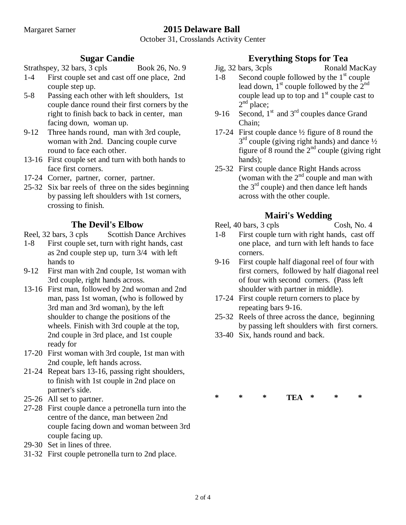# Margaret Sarner **2015 Delaware Ball**

October 31, Crosslands Activity Center

#### **Sugar Candie**

#### Strathspey, 32 bars, 3 cpls Book 26, No. 9

- 1-4 First couple set and cast off one place, 2nd couple step up.
- 5-8 Passing each other with left shoulders, 1st couple dance round their first corners by the right to finish back to back in center, man facing down, woman up.
- 9-12 Three hands round, man with 3rd couple, woman with 2nd. Dancing couple curve round to face each other.
- 13-16 First couple set and turn with both hands to face first corners.
- 17-24 Corner, partner, corner, partner.
- 25-32 Six bar reels of three on the sides beginning by passing left shoulders with 1st corners, crossing to finish.

### **The Devil's Elbow**

- Reel, 32 bars, 3 cpls Scottish Dance Archives
- 1-8 First couple set, turn with right hands, cast as 2nd couple step up, turn 3/4 with left hands to
- 9-12 First man with 2nd couple, 1st woman with 3rd couple, right hands across.
- 13-16 First man, followed by 2nd woman and 2nd man, pass 1st woman, (who is followed by 3rd man and 3rd woman), by the left shoulder to change the positions of the wheels. Finish with 3rd couple at the top, 2nd couple in 3rd place, and 1st couple ready for
- 17-20 First woman with 3rd couple, 1st man with 2nd couple, left hands across.
- 21-24 Repeat bars 13-16, passing right shoulders, to finish with 1st couple in 2nd place on partner's side.
- 25-26 All set to partner.
- 27-28 First couple dance a petronella turn into the centre of the dance, man between 2nd couple facing down and woman between 3rd couple facing up.
- 29-30 Set in lines of three.
- 31-32 First couple petronella turn to 2nd place.

### **Everything Stops for Tea**

- Jig, 32 bars, 3cpls Ronald MacKay
- 1-8 Second couple followed by the  $1<sup>st</sup>$  couple lead down,  $1<sup>st</sup>$  couple followed by the  $2<sup>nd</sup>$ couple lead up to top and  $1<sup>st</sup>$  couple cast to  $2<sup>nd</sup>$  place;
- 9-16 Second,  $1<sup>st</sup>$  and  $3<sup>rd</sup>$  couples dance Grand Chain;
- 17-24 First couple dance ½ figure of 8 round the  $3<sup>rd</sup>$  couple (giving right hands) and dance  $\frac{1}{2}$ figure of 8 round the  $2<sup>nd</sup>$  couple (giving right) hands);
- 25-32 First couple dance Right Hands across (woman with the  $2<sup>nd</sup>$  couple and man with the  $3<sup>rd</sup>$  couple) and then dance left hands across with the other couple.

### **Mairi's Wedding**

Reel, 40 bars, 3 cpls Cosh, No. 4

- 1-8 First couple turn with right hands, cast off one place, and turn with left hands to face corners.
- 9-16 First couple half diagonal reel of four with first corners, followed by half diagonal reel of four with second corners. (Pass left shoulder with partner in middle).
- 17-24 First couple return corners to place by repeating bars 9-16.
- 25-32 Reels of three across the dance, beginning by passing left shoulders with first corners.
- 33-40 Six, hands round and back.

| ∗ |  | TEA | ∗ | m |
|---|--|-----|---|---|
|   |  |     |   |   |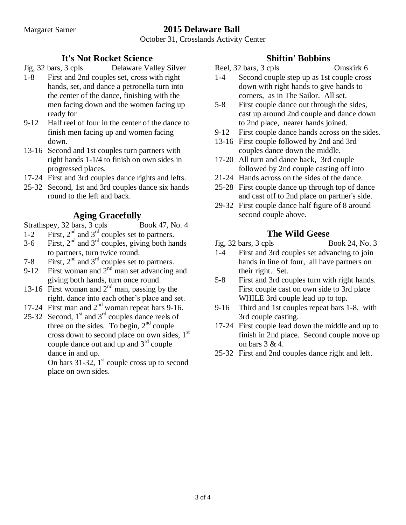# Margaret Sarner **2015 Delaware Ball**

October 31, Crosslands Activity Center

### **It's Not Rocket Science**

- Jig, 32 bars, 3 cpls Delaware Valley Silver
- 1-8 First and 2nd couples set, cross with right hands, set, and dance a petronella turn into the center of the dance, finishing with the men facing down and the women facing up ready for
- 9-12 Half reel of four in the center of the dance to finish men facing up and women facing down.
- 13-16 Second and 1st couples turn partners with right hands 1-1/4 to finish on own sides in progressed places.
- 17-24 First and 3rd couples dance rights and lefts.
- 25-32 Second, 1st and 3rd couples dance six hands round to the left and back.

# **Aging Gracefully**

Strathspey, 32 bars, 3 cpls Book 47, No. 4

- 1-2 First,  $2<sup>nd</sup>$  and  $3<sup>rd</sup>$  couples set to partners.
- 3-6 First,  $2<sup>nd</sup>$  and  $3<sup>rd</sup>$  couples, giving both hands to partners, turn twice round.
- 7-8 First,  $2<sup>nd</sup>$  and  $3<sup>rd</sup>$  couples set to partners.
- 9-12 First woman and  $2<sup>nd</sup>$  man set advancing and giving both hands, turn once round.
- 13-16 First woman and  $2<sup>nd</sup>$  man, passing by the right, dance into each other's place and set.
- 17-24 First man and  $2<sup>nd</sup>$  woman repeat bars 9-16.
- 25-32 Second,  $1<sup>st</sup>$  and  $3<sup>rd</sup>$  couples dance reels of three on the sides. To begin,  $2<sup>nd</sup>$  couple cross down to second place on own sides,  $1<sup>st</sup>$ couple dance out and up and 3rd couple dance in and up.

On bars 31-32,  $1<sup>st</sup>$  couple cross up to second place on own sides.

### **Shiftin' Bobbins**

- Reel, 32 bars, 3 cpls Omskirk 6 1-4 Second couple step up as 1st couple cross down with right hands to give hands to corners, as in The Sailor. All set.
- 5-8 First couple dance out through the sides, cast up around 2nd couple and dance down to 2nd place, nearer hands joined.
- 9-12 First couple dance hands across on the sides.
- 13-16 First couple followed by 2nd and 3rd couples dance down the middle.
- 17-20 All turn and dance back, 3rd couple followed by 2nd couple casting off into
- 21-24 Hands across on the sides of the dance.
- 25-28 First couple dance up through top of dance and cast off to 2nd place on partner's side.
- 29-32 First couple dance half figure of 8 around second couple above.

# **The Wild Geese**

- Jig, 32 bars, 3 cpls Book 24, No. 3 1-4 First and 3rd couples set advancing to join hands in line of four, all have partners on their right. Set.
- 5-8 First and 3rd couples turn with right hands. First couple cast on own side to 3rd place WHILE 3rd couple lead up to top.
- 9-16 Third and 1st couples repeat bars 1-8, with 3rd couple casting.
- 17-24 First couple lead down the middle and up to finish in 2nd place. Second couple move up on bars 3 & 4.
- 25-32 First and 2nd couples dance right and left.